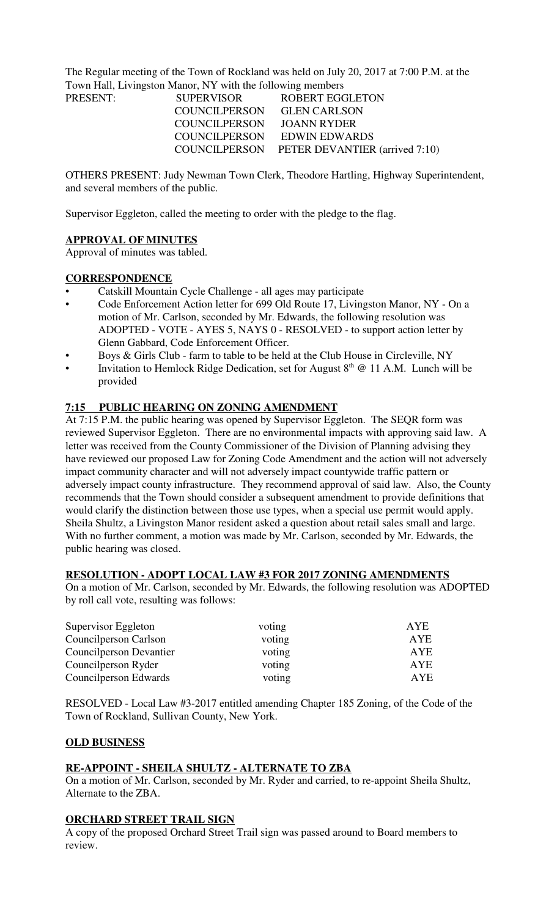The Regular meeting of the Town of Rockland was held on July 20, 2017 at 7:00 P.M. at the Town Hall, Livingston Manor, NY with the following members

| PRESENT: | SUPERVISOR                 | <b>ROBERT EGGLETON</b>                       |  |  |
|----------|----------------------------|----------------------------------------------|--|--|
|          | COUNCILPERSON GLEN CARLSON |                                              |  |  |
|          | COUNCILPERSON JOANN RYDER  |                                              |  |  |
|          |                            | COUNCILPERSON EDWIN EDWARDS                  |  |  |
|          |                            | COUNCILPERSON PETER DEVANTIER (arrived 7:10) |  |  |

OTHERS PRESENT: Judy Newman Town Clerk, Theodore Hartling, Highway Superintendent, and several members of the public.

Supervisor Eggleton, called the meeting to order with the pledge to the flag.

# **APPROVAL OF MINUTES**

Approval of minutes was tabled.

# **CORRESPONDENCE**

- Catskill Mountain Cycle Challenge all ages may participate
- Code Enforcement Action letter for 699 Old Route 17, Livingston Manor, NY On a motion of Mr. Carlson, seconded by Mr. Edwards, the following resolution was ADOPTED - VOTE - AYES 5, NAYS 0 - RESOLVED - to support action letter by Glenn Gabbard, Code Enforcement Officer.
- Boys & Girls Club farm to table to be held at the Club House in Circleville, NY
- Invitation to Hemlock Ridge Dedication, set for August  $8<sup>th</sup>$  @ 11 A.M. Lunch will be provided

# **7:15 PUBLIC HEARING ON ZONING AMENDMENT**

At 7:15 P.M. the public hearing was opened by Supervisor Eggleton. The SEQR form was reviewed Supervisor Eggleton. There are no environmental impacts with approving said law. A letter was received from the County Commissioner of the Division of Planning advising they have reviewed our proposed Law for Zoning Code Amendment and the action will not adversely impact community character and will not adversely impact countywide traffic pattern or adversely impact county infrastructure. They recommend approval of said law. Also, the County recommends that the Town should consider a subsequent amendment to provide definitions that would clarify the distinction between those use types, when a special use permit would apply. Sheila Shultz, a Livingston Manor resident asked a question about retail sales small and large. With no further comment, a motion was made by Mr. Carlson, seconded by Mr. Edwards, the public hearing was closed.

#### **RESOLUTION - ADOPT LOCAL LAW #3 FOR 2017 ZONING AMENDMENTS**

On a motion of Mr. Carlson, seconded by Mr. Edwards, the following resolution was ADOPTED by roll call vote, resulting was follows:

| Supervisor Eggleton     | voting | <b>AYE</b> |
|-------------------------|--------|------------|
| Councilperson Carlson   | voting | <b>AYE</b> |
| Councilperson Devantier | voting | <b>AYE</b> |
| Councilperson Ryder     | voting | <b>AYE</b> |
| Council person Edwards  | voting | <b>AYE</b> |

RESOLVED - Local Law #3-2017 entitled amending Chapter 185 Zoning, of the Code of the Town of Rockland, Sullivan County, New York.

# **OLD BUSINESS**

# **RE-APPOINT - SHEILA SHULTZ - ALTERNATE TO ZBA**

On a motion of Mr. Carlson, seconded by Mr. Ryder and carried, to re-appoint Sheila Shultz, Alternate to the ZBA.

#### **ORCHARD STREET TRAIL SIGN**

A copy of the proposed Orchard Street Trail sign was passed around to Board members to review.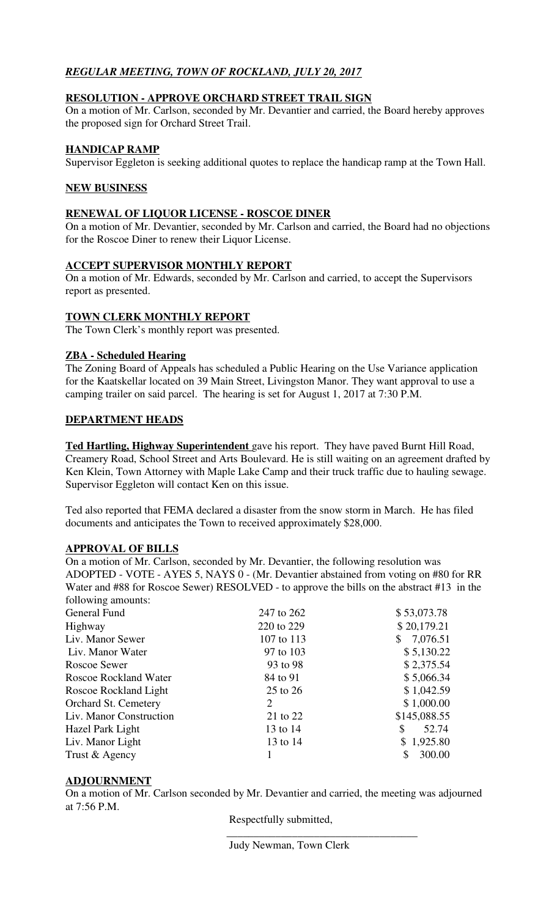# *REGULAR MEETING, TOWN OF ROCKLAND, JULY 20, 2017*

# **RESOLUTION - APPROVE ORCHARD STREET TRAIL SIGN**

On a motion of Mr. Carlson, seconded by Mr. Devantier and carried, the Board hereby approves the proposed sign for Orchard Street Trail.

# **HANDICAP RAMP**

Supervisor Eggleton is seeking additional quotes to replace the handicap ramp at the Town Hall.

# **NEW BUSINESS**

### **RENEWAL OF LIQUOR LICENSE - ROSCOE DINER**

On a motion of Mr. Devantier, seconded by Mr. Carlson and carried, the Board had no objections for the Roscoe Diner to renew their Liquor License.

### **ACCEPT SUPERVISOR MONTHLY REPORT**

On a motion of Mr. Edwards, seconded by Mr. Carlson and carried, to accept the Supervisors report as presented.

# **TOWN CLERK MONTHLY REPORT**

The Town Clerk's monthly report was presented.

# **ZBA - Scheduled Hearing**

The Zoning Board of Appeals has scheduled a Public Hearing on the Use Variance application for the Kaatskellar located on 39 Main Street, Livingston Manor. They want approval to use a camping trailer on said parcel. The hearing is set for August 1, 2017 at 7:30 P.M.

# **DEPARTMENT HEADS**

**Ted Hartling, Highway Superintendent** gave his report. They have paved Burnt Hill Road, Creamery Road, School Street and Arts Boulevard. He is still waiting on an agreement drafted by Ken Klein, Town Attorney with Maple Lake Camp and their truck traffic due to hauling sewage. Supervisor Eggleton will contact Ken on this issue.

Ted also reported that FEMA declared a disaster from the snow storm in March. He has filed documents and anticipates the Town to received approximately \$28,000.

# **APPROVAL OF BILLS**

On a motion of Mr. Carlson, seconded by Mr. Devantier, the following resolution was ADOPTED - VOTE - AYES 5, NAYS 0 - (Mr. Devantier abstained from voting on #80 for RR Water and #88 for Roscoe Sewer) RESOLVED - to approve the bills on the abstract #13 in the following amounts:

| General Fund                 | 247 to 262 | \$53,073.78  |
|------------------------------|------------|--------------|
| Highway                      | 220 to 229 | \$20,179.21  |
| Liv. Manor Sewer             | 107 to 113 | \$7,076.51   |
| Liv. Manor Water             | 97 to 103  | \$5,130.22   |
| Roscoe Sewer                 | 93 to 98   | \$2,375.54   |
| <b>Roscoe Rockland Water</b> | 84 to 91   | \$5,066.34   |
| Roscoe Rockland Light        | 25 to 26   | \$1,042.59   |
| <b>Orchard St. Cemetery</b>  | 2          | \$1,000.00   |
| Liv. Manor Construction      | 21 to 22   | \$145,088.55 |
| Hazel Park Light             | 13 to 14   | 52.74<br>\$  |
| Liv. Manor Light             | 13 to 14   | \$1,925.80   |
| Trust & Agency               |            | 300.00       |
|                              |            |              |

# **ADJOURNMENT**

On a motion of Mr. Carlson seconded by Mr. Devantier and carried, the meeting was adjourned at 7:56 P.M.

Respectfully submitted,

Judy Newman, Town Clerk

\_\_\_\_\_\_\_\_\_\_\_\_\_\_\_\_\_\_\_\_\_\_\_\_\_\_\_\_\_\_\_\_\_\_\_